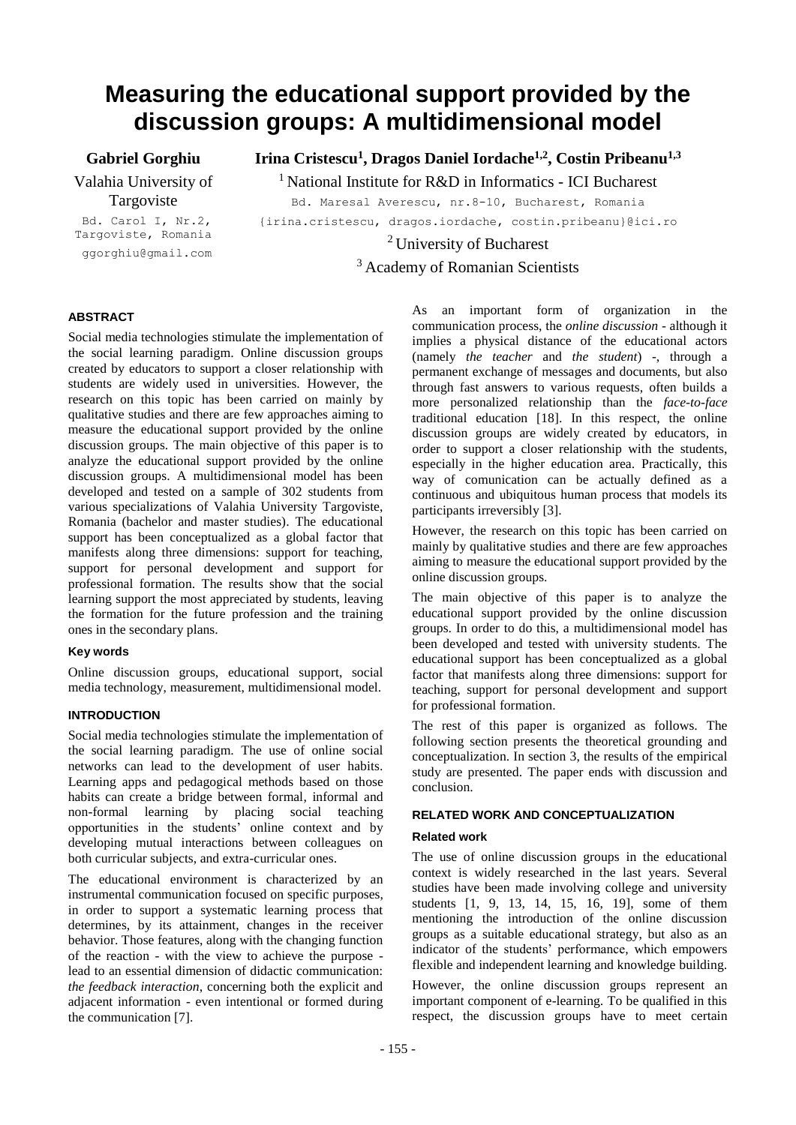# **Measuring the educational support provided by the discussion groups: A multidimensional model**

**Gabriel Gorghiu**

Valahia University of Targoviste

**Irina Cristescu<sup>1</sup> , Dragos Daniel Iordache1,2, Costin Pribeanu1,3**

<sup>1</sup> National Institute for R&D in Informatics - ICI Bucharest

Bd. Carol I, Nr.2, Targoviste, Romania

ggorghiu@gmail.com

Bd. Maresal Averescu, nr.8-10, Bucharest, Romania {irina.cristescu, dragos.iordache, costin.pribeanu}@ici.ro <sup>2</sup> University of Bucharest

<sup>3</sup> Academy of Romanian Scientists

# **ABSTRACT**

Social media technologies stimulate the implementation of the social learning paradigm. Online discussion groups created by educators to support a closer relationship with students are widely used in universities. However, the research on this topic has been carried on mainly by qualitative studies and there are few approaches aiming to measure the educational support provided by the online discussion groups. The main objective of this paper is to analyze the educational support provided by the online discussion groups. A multidimensional model has been developed and tested on a sample of 302 students from various specializations of Valahia University Targoviste, Romania (bachelor and master studies). The educational support has been conceptualized as a global factor that manifests along three dimensions: support for teaching, support for personal development and support for professional formation. The results show that the social learning support the most appreciated by students, leaving the formation for the future profession and the training ones in the secondary plans.

## **Key words**

Online discussion groups, educational support, social media technology, measurement, multidimensional model.

# **INTRODUCTION**

Social media technologies stimulate the implementation of the social learning paradigm. The use of online social networks can lead to the development of user habits. Learning apps and pedagogical methods based on those habits can create a bridge between formal, informal and non-formal learning by placing social teaching opportunities in the students' online context and by developing mutual interactions between colleagues on both curricular subjects, and extra-curricular ones.

The educational environment is characterized by an instrumental communication focused on specific purposes, in order to support a systematic learning process that determines, by its attainment, changes in the receiver behavior. Those features, along with the changing function of the reaction - with the view to achieve the purpose lead to an essential dimension of didactic communication: *the feedback interaction*, concerning both the explicit and adjacent information - even intentional or formed during the communication [7].

As an important form of organization in the communication process, the *online discussion* - although it implies a physical distance of the educational actors (namely *the teacher* and *the student*) -, through a permanent exchange of messages and documents, but also through fast answers to various requests, often builds a more personalized relationship than the *face-to-face* traditional education [18]. In this respect, the online discussion groups are widely created by educators, in order to support a closer relationship with the students, especially in the higher education area. Practically, this way of comunication can be actually defined as a continuous and ubiquitous human process that models its participants irreversibly [3].

However, the research on this topic has been carried on mainly by qualitative studies and there are few approaches aiming to measure the educational support provided by the online discussion groups.

The main objective of this paper is to analyze the educational support provided by the online discussion groups. In order to do this, a multidimensional model has been developed and tested with university students. The educational support has been conceptualized as a global factor that manifests along three dimensions: support for teaching, support for personal development and support for professional formation.

The rest of this paper is organized as follows. The following section presents the theoretical grounding and conceptualization. In section 3, the results of the empirical study are presented. The paper ends with discussion and conclusion.

## **RELATED WORK AND CONCEPTUALIZATION**

## **Related work**

The use of online discussion groups in the educational context is widely researched in the last years. Several studies have been made involving college and university students [1, 9, 13, 14, 15, 16, 19], some of them mentioning the introduction of the online discussion groups as a suitable educational strategy, but also as an indicator of the students' performance, which empowers flexible and independent learning and knowledge building.

However, the online discussion groups represent an important component of e-learning. To be qualified in this respect, the discussion groups have to meet certain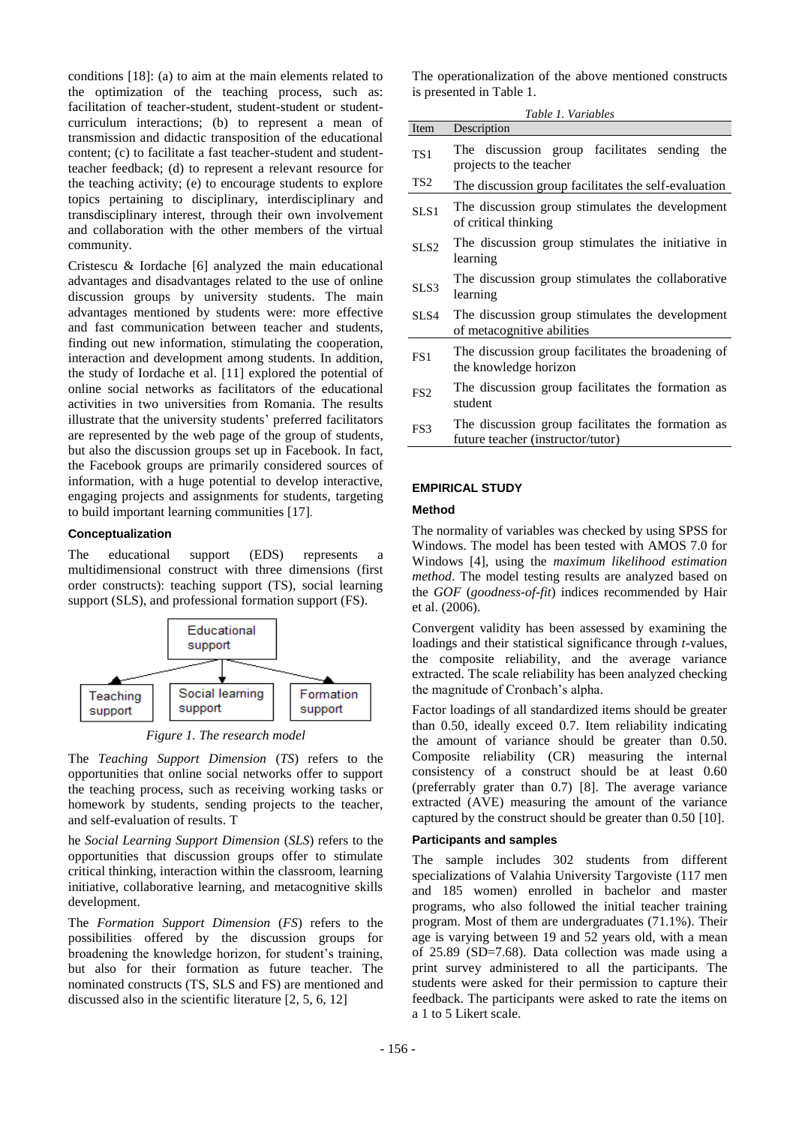conditions [18]: (a) to aim at the main elements related to the optimization of the teaching process, such as: facilitation of teacher-student, student-student or studentcurriculum interactions; (b) to represent a mean of transmission and didactic transposition of the educational content; (c) to facilitate a fast teacher-student and studentteacher feedback; (d) to represent a relevant resource for the teaching activity; (e) to encourage students to explore topics pertaining to disciplinary, interdisciplinary and transdisciplinary interest, through their own involvement and collaboration with the other members of the virtual community.

Cristescu & Iordache [6] analyzed the main educational advantages and disadvantages related to the use of online discussion groups by university students. The main advantages mentioned by students were: more effective and fast communication between teacher and students, finding out new information, stimulating the cooperation, interaction and development among students. In addition, the study of Iordache et al. [11] explored the potential of online social networks as facilitators of the educational activities in two universities from Romania. The results illustrate that the university students' preferred facilitators are represented by the web page of the group of students, but also the discussion groups set up in Facebook. In fact, the Facebook groups are primarily considered sources of information, with a huge potential to develop interactive, engaging projects and assignments for students, targeting to build important learning communities [17].

## **Conceptualization**

The educational support (EDS) represents a multidimensional construct with three dimensions (first order constructs): teaching support (TS), social learning support (SLS), and professional formation support (FS).



*Figure 1. The research model*

The *Teaching Support Dimension* (*TS*) refers to the opportunities that online social networks offer to support the teaching process, such as receiving working tasks or homework by students, sending projects to the teacher, and self-evaluation of results. T

he *Social Learning Support Dimension* (*SLS*) refers to the opportunities that discussion groups offer to stimulate critical thinking, interaction within the classroom, learning initiative, collaborative learning, and metacognitive skills development.

The *Formation Support Dimension* (*FS*) refers to the possibilities offered by the discussion groups for broadening the knowledge horizon, for student's training, but also for their formation as future teacher. The nominated constructs (TS, SLS and FS) are mentioned and discussed also in the scientific literature [2, 5, 6, 12]

The operationalization of the above mentioned constructs is presented in Table 1.

| Table 1. Variables |                                                                                        |  |  |  |  |  |  |  |
|--------------------|----------------------------------------------------------------------------------------|--|--|--|--|--|--|--|
| Item               | Description                                                                            |  |  |  |  |  |  |  |
| TS1                | The discussion group facilitates sending<br>the<br>projects to the teacher             |  |  |  |  |  |  |  |
| TS <sub>2</sub>    | The discussion group facilitates the self-evaluation                                   |  |  |  |  |  |  |  |
| SLS1               | The discussion group stimulates the development<br>of critical thinking                |  |  |  |  |  |  |  |
| SLS <sub>2</sub>   | The discussion group stimulates the initiative in<br>learning                          |  |  |  |  |  |  |  |
| SLS3               | The discussion group stimulates the collaborative<br>learning                          |  |  |  |  |  |  |  |
| SLS4               | The discussion group stimulates the development<br>of metacognitive abilities          |  |  |  |  |  |  |  |
| FS <sub>1</sub>    | The discussion group facilitates the broadening of<br>the knowledge horizon            |  |  |  |  |  |  |  |
| FS <sub>2</sub>    | The discussion group facilitates the formation as<br>student                           |  |  |  |  |  |  |  |
| FS3                | The discussion group facilitates the formation as<br>future teacher (instructor/tutor) |  |  |  |  |  |  |  |

## **EMPIRICAL STUDY**

#### **Method**

The normality of variables was checked by using SPSS for Windows. The model has been tested with AMOS 7.0 for Windows [4], using the *maximum likelihood estimation method*. The model testing results are analyzed based on the *GOF* (*goodness-of-fit*) indices recommended by Hair et al. (2006).

Convergent validity has been assessed by examining the loadings and their statistical significance through *t*-values, the composite reliability, and the average variance extracted. The scale reliability has been analyzed checking the magnitude of Cronbach's alpha.

Factor loadings of all standardized items should be greater than 0.50, ideally exceed 0.7. Item reliability indicating the amount of variance should be greater than 0.50. Composite reliability (CR) measuring the internal consistency of a construct should be at least 0.60 (preferrably grater than 0.7) [8]. The average variance extracted (AVE) measuring the amount of the variance captured by the construct should be greater than 0.50 [10].

## **Participants and samples**

The sample includes 302 students from different specializations of Valahia University Targoviste (117 men and 185 women) enrolled in bachelor and master programs, who also followed the initial teacher training program. Most of them are undergraduates (71.1%). Their age is varying between 19 and 52 years old, with a mean of 25.89 (SD=7.68). Data collection was made using a print survey administered to all the participants. The students were asked for their permission to capture their feedback. The participants were asked to rate the items on a 1 to 5 Likert scale.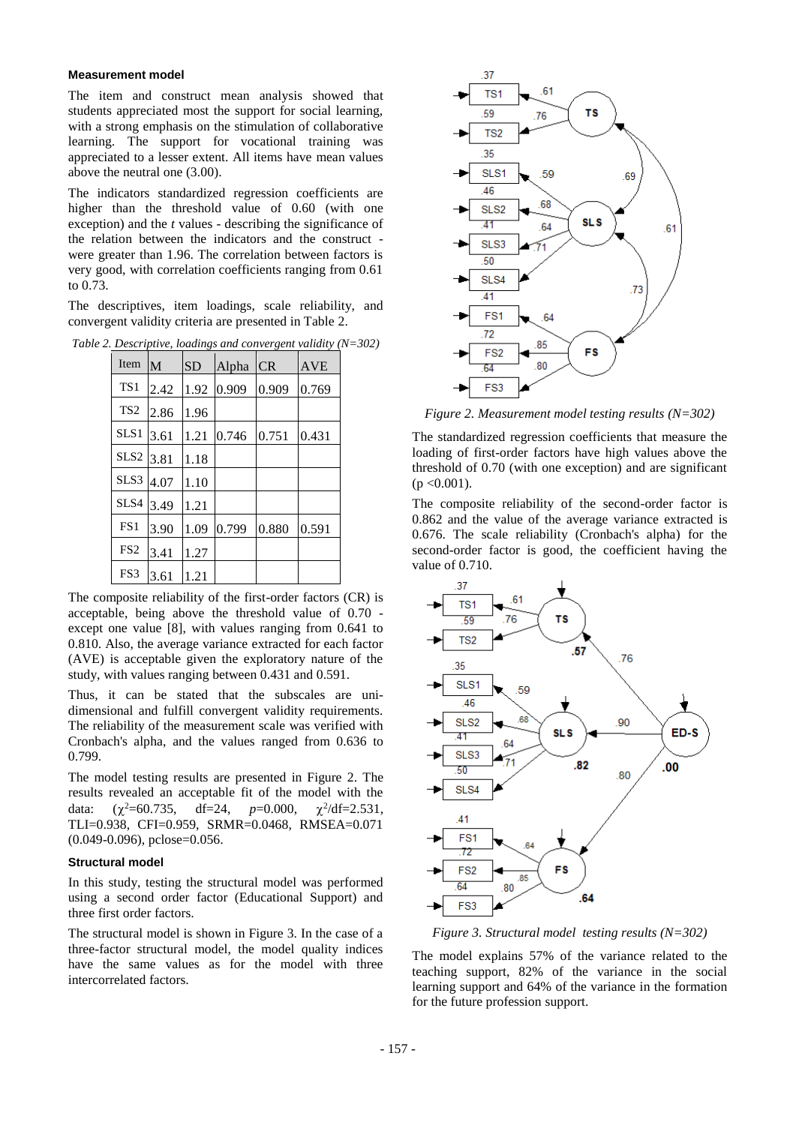#### **Measurement model**

The item and construct mean analysis showed that students appreciated most the support for social learning, with a strong emphasis on the stimulation of collaborative learning. The support for vocational training was appreciated to a lesser extent. All items have mean values above the neutral one (3.00).

The indicators standardized regression coefficients are higher than the threshold value of 0.60 (with one exception) and the *t* values - describing the significance of the relation between the indicators and the construct were greater than 1.96. The correlation between factors is very good, with correlation coefficients ranging from 0.61 to 0.73.

The descriptives, item loadings, scale reliability, and convergent validity criteria are presented in Table 2.

|  |  |  |  | Table 2. Descriptive, loadings and convergent validity $(N=302)$ |
|--|--|--|--|------------------------------------------------------------------|
|--|--|--|--|------------------------------------------------------------------|

| Item             | M    | <b>SD</b> | Alpha | CR    | AVE   |
|------------------|------|-----------|-------|-------|-------|
| TS <sub>1</sub>  | 2.42 | 1.92      | 0.909 | 0.909 | 0.769 |
| TS <sub>2</sub>  | 2.86 | 1.96      |       |       |       |
| SLS <sub>1</sub> | 3.61 | 1.21      | 0.746 | 0.751 | 0.431 |
| SLS <sub>2</sub> | 3.81 | 1.18      |       |       |       |
| SLS3             | 4.07 | 1.10      |       |       |       |
| SLS4             | 3.49 | 1.21      |       |       |       |
| FS <sub>1</sub>  | 3.90 | 1.09      | 0.799 | 0.880 | 0.591 |
| FS <sub>2</sub>  | 3.41 | 1.27      |       |       |       |
| FS3              | 3.61 | 1.21      |       |       |       |

The composite reliability of the first-order factors (CR) is acceptable, being above the threshold value of 0.70 except one value [8], with values ranging from 0.641 to 0.810. Also, the average variance extracted for each factor (AVE) is acceptable given the exploratory nature of the study, with values ranging between 0.431 and 0.591.

Thus, it can be stated that the subscales are unidimensional and fulfill convergent validity requirements. The reliability of the measurement scale was verified with Cronbach's alpha, and the values ranged from 0.636 to 0.799.

The model testing results are presented in Figure 2. The results revealed an acceptable fit of the model with the data:  $\alpha^2 = 60.735$ , df=24,  $p=0.000$ ,  $\chi^2/\text{df}=2.531$ , TLI=0.938, CFI=0.959, SRMR=0.0468, RMSEA=0.071 (0.049-0.096), pclose=0.056.

#### **Structural model**

In this study, testing the structural model was performed using a second order factor (Educational Support) and three first order factors.

The structural model is shown in Figure 3. In the case of a three-factor structural model, the model quality indices have the same values as for the model with three intercorrelated factors.



*Figure 2. Measurement model testing results (N=302)*

The standardized regression coefficients that measure the loading of first-order factors have high values above the threshold of 0.70 (with one exception) and are significant  $(p < 0.001)$ .

The composite reliability of the second-order factor is 0.862 and the value of the average variance extracted is 0.676. The scale reliability (Cronbach's alpha) for the second-order factor is good, the coefficient having the value of 0.710.



*Figure 3. Structural model testing results (N=302)*

The model explains 57% of the variance related to the teaching support, 82% of the variance in the social learning support and 64% of the variance in the formation for the future profession support.